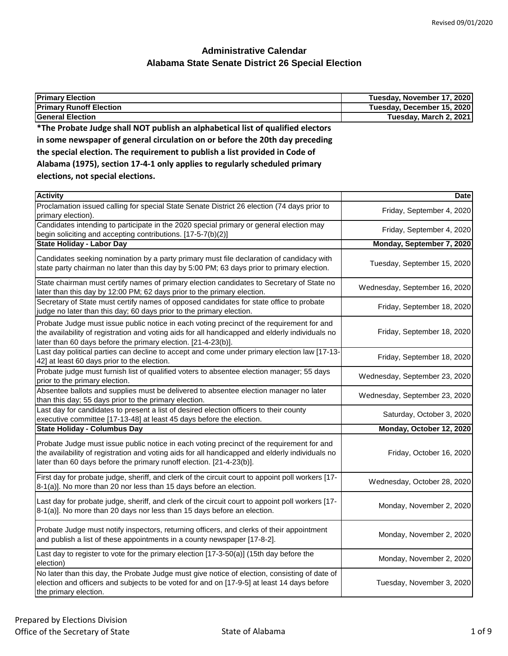| <b>Primary Election</b>                                                         | Tuesday, November 17, 2020 |
|---------------------------------------------------------------------------------|----------------------------|
| <b>Primary Runoff Election</b>                                                  | Tuesday, December 15, 2020 |
| lGeneral Election                                                               | Tuesday, March 2, 2021     |
| *The Probate Judge shall NOT publish an alphabetical list of qualified electors |                            |
| in some newspaper of general circulation on or before the 20th day preceding    |                            |

|  | the special election. The requirement to publish a list provided in Code of |
|--|-----------------------------------------------------------------------------|
|  |                                                                             |

| Alabama (1975), section 17-4-1 only applies to regularly scheduled primary |  |  |
|----------------------------------------------------------------------------|--|--|
|----------------------------------------------------------------------------|--|--|

**elections, not special elections.**

| <b>Activity</b>                                                                                                                                                                                                                                                      | <b>Date</b>                   |
|----------------------------------------------------------------------------------------------------------------------------------------------------------------------------------------------------------------------------------------------------------------------|-------------------------------|
| Proclamation issued calling for special State Senate District 26 election (74 days prior to<br>primary election).                                                                                                                                                    | Friday, September 4, 2020     |
| Candidates intending to participate in the 2020 special primary or general election may<br>begin soliciting and accepting contributions. [17-5-7(b)(2)]                                                                                                              | Friday, September 4, 2020     |
| <b>State Holiday - Labor Day</b>                                                                                                                                                                                                                                     | Monday, September 7, 2020     |
| Candidates seeking nomination by a party primary must file declaration of candidacy with<br>state party chairman no later than this day by 5:00 PM; 63 days prior to primary election.                                                                               | Tuesday, September 15, 2020   |
| State chairman must certify names of primary election candidates to Secretary of State no<br>later than this day by 12:00 PM; 62 days prior to the primary election.                                                                                                 | Wednesday, September 16, 2020 |
| Secretary of State must certify names of opposed candidates for state office to probate<br>judge no later than this day; 60 days prior to the primary election.                                                                                                      | Friday, September 18, 2020    |
| Probate Judge must issue public notice in each voting precinct of the requirement for and<br>the availability of registration and voting aids for all handicapped and elderly individuals no<br>later than 60 days before the primary election. [21-4-23(b)].        | Friday, September 18, 2020    |
| Last day political parties can decline to accept and come under primary election law [17-13-<br>42] at least 60 days prior to the election.                                                                                                                          | Friday, September 18, 2020    |
| Probate judge must furnish list of qualified voters to absentee election manager; 55 days<br>prior to the primary election.                                                                                                                                          | Wednesday, September 23, 2020 |
| Absentee ballots and supplies must be delivered to absentee election manager no later<br>than this day; 55 days prior to the primary election.                                                                                                                       | Wednesday, September 23, 2020 |
| Last day for candidates to present a list of desired election officers to their county<br>executive committee [17-13-48] at least 45 days before the election.                                                                                                       | Saturday, October 3, 2020     |
| <b>State Holiday - Columbus Day</b>                                                                                                                                                                                                                                  | Monday, October 12, 2020      |
| Probate Judge must issue public notice in each voting precinct of the requirement for and<br>the availability of registration and voting aids for all handicapped and elderly individuals no<br>later than 60 days before the primary runoff election. [21-4-23(b)]. | Friday, October 16, 2020      |
| First day for probate judge, sheriff, and clerk of the circuit court to appoint poll workers [17-<br>8-1(a)]. No more than 20 nor less than 15 days before an election.                                                                                              | Wednesday, October 28, 2020   |
| Last day for probate judge, sheriff, and clerk of the circuit court to appoint poll workers [17-<br>8-1(a)]. No more than 20 days nor less than 15 days before an election.                                                                                          | Monday, November 2, 2020      |
| Probate Judge must notify inspectors, returning officers, and clerks of their appointment<br>and publish a list of these appointments in a county newspaper [17-8-2].                                                                                                | Monday, November 2, 2020      |
| Last day to register to vote for the primary election [17-3-50(a)] (15th day before the<br>election)                                                                                                                                                                 | Monday, November 2, 2020      |
| No later than this day, the Probate Judge must give notice of election, consisting of date of<br>election and officers and subjects to be voted for and on [17-9-5] at least 14 days before<br>the primary election.                                                 | Tuesday, November 3, 2020     |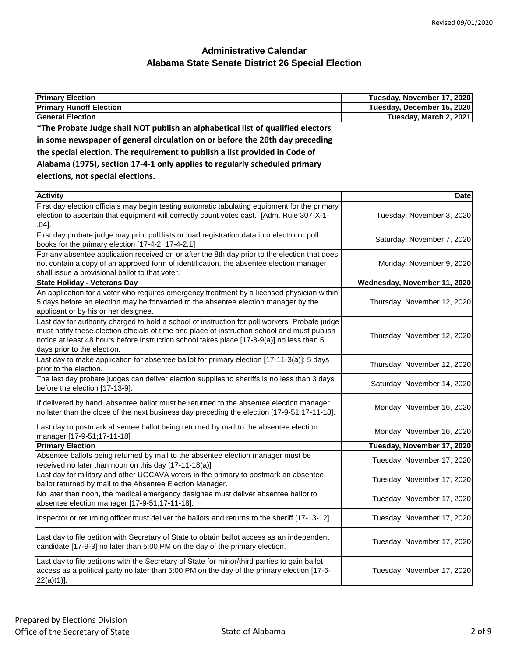| Tuesday, December 15, 2020<br>Tuesday, March 2, 2021<br>Alabama (1975), section 17-4-1 only applies to regularly scheduled primary<br>elections, not special elections.<br>Date<br>Tuesday, November 3, 2020<br>$.04$ ].<br>Saturday, November 7, 2020<br>Monday, November 9, 2020<br>State Holiday - Veterans Day<br>Wednesday, November 11, 2020<br>An application for a voter who requires emergency treatment by a licensed physician within<br>5 days before an election may be forwarded to the absentee election manager by the<br>Thursday, November 12, 2020<br>applicant or by his or her designee.<br>Last day for authority charged to hold a school of instruction for poll workers. Probate judge<br>must notify these election officials of time and place of instruction school and must publish<br>Thursday, November 12, 2020<br>notice at least 48 hours before instruction school takes place [17-8-9(a)] no less than 5<br>days prior to the election.<br>Last day to make application for absentee ballot for primary election [17-11-3(a)]; 5 days<br>Thursday, November 12, 2020<br>prior to the election.<br>The last day probate judges can deliver election supplies to sheriffs is no less than 3 days<br>Saturday, November 14, 2020<br>before the election [17-13-9].<br>If delivered by hand, absentee ballot must be returned to the absentee election manager<br>Monday, November 16, 2020<br>no later than the close of the next business day preceding the election [17-9-51;17-11-18].<br>Last day to postmark absentee ballot being returned by mail to the absentee election<br>Monday, November 16, 2020<br>manager [17-9-51;17-11-18]<br><b>Primary Election</b><br>Tuesday, November 17, 2020<br>Absentee ballots being returned by mail to the absentee election manager must be | <b>Primary Election</b>                                                                                                                       | Tuesday, November 17, 2020 |
|----------------------------------------------------------------------------------------------------------------------------------------------------------------------------------------------------------------------------------------------------------------------------------------------------------------------------------------------------------------------------------------------------------------------------------------------------------------------------------------------------------------------------------------------------------------------------------------------------------------------------------------------------------------------------------------------------------------------------------------------------------------------------------------------------------------------------------------------------------------------------------------------------------------------------------------------------------------------------------------------------------------------------------------------------------------------------------------------------------------------------------------------------------------------------------------------------------------------------------------------------------------------------------------------------------------------------------------------------------------------------------------------------------------------------------------------------------------------------------------------------------------------------------------------------------------------------------------------------------------------------------------------------------------------------------------------------------------------------------------------------------------------------------------------------------------------------|-----------------------------------------------------------------------------------------------------------------------------------------------|----------------------------|
|                                                                                                                                                                                                                                                                                                                                                                                                                                                                                                                                                                                                                                                                                                                                                                                                                                                                                                                                                                                                                                                                                                                                                                                                                                                                                                                                                                                                                                                                                                                                                                                                                                                                                                                                                                                                                            | <b>Primary Runoff Election</b>                                                                                                                |                            |
|                                                                                                                                                                                                                                                                                                                                                                                                                                                                                                                                                                                                                                                                                                                                                                                                                                                                                                                                                                                                                                                                                                                                                                                                                                                                                                                                                                                                                                                                                                                                                                                                                                                                                                                                                                                                                            | <b>General Election</b>                                                                                                                       |                            |
|                                                                                                                                                                                                                                                                                                                                                                                                                                                                                                                                                                                                                                                                                                                                                                                                                                                                                                                                                                                                                                                                                                                                                                                                                                                                                                                                                                                                                                                                                                                                                                                                                                                                                                                                                                                                                            | *The Probate Judge shall NOT publish an alphabetical list of qualified electors                                                               |                            |
|                                                                                                                                                                                                                                                                                                                                                                                                                                                                                                                                                                                                                                                                                                                                                                                                                                                                                                                                                                                                                                                                                                                                                                                                                                                                                                                                                                                                                                                                                                                                                                                                                                                                                                                                                                                                                            | in some newspaper of general circulation on or before the 20th day preceding                                                                  |                            |
|                                                                                                                                                                                                                                                                                                                                                                                                                                                                                                                                                                                                                                                                                                                                                                                                                                                                                                                                                                                                                                                                                                                                                                                                                                                                                                                                                                                                                                                                                                                                                                                                                                                                                                                                                                                                                            | the special election. The requirement to publish a list provided in Code of                                                                   |                            |
|                                                                                                                                                                                                                                                                                                                                                                                                                                                                                                                                                                                                                                                                                                                                                                                                                                                                                                                                                                                                                                                                                                                                                                                                                                                                                                                                                                                                                                                                                                                                                                                                                                                                                                                                                                                                                            |                                                                                                                                               |                            |
|                                                                                                                                                                                                                                                                                                                                                                                                                                                                                                                                                                                                                                                                                                                                                                                                                                                                                                                                                                                                                                                                                                                                                                                                                                                                                                                                                                                                                                                                                                                                                                                                                                                                                                                                                                                                                            |                                                                                                                                               |                            |
|                                                                                                                                                                                                                                                                                                                                                                                                                                                                                                                                                                                                                                                                                                                                                                                                                                                                                                                                                                                                                                                                                                                                                                                                                                                                                                                                                                                                                                                                                                                                                                                                                                                                                                                                                                                                                            |                                                                                                                                               |                            |
|                                                                                                                                                                                                                                                                                                                                                                                                                                                                                                                                                                                                                                                                                                                                                                                                                                                                                                                                                                                                                                                                                                                                                                                                                                                                                                                                                                                                                                                                                                                                                                                                                                                                                                                                                                                                                            | <b>Activity</b>                                                                                                                               |                            |
|                                                                                                                                                                                                                                                                                                                                                                                                                                                                                                                                                                                                                                                                                                                                                                                                                                                                                                                                                                                                                                                                                                                                                                                                                                                                                                                                                                                                                                                                                                                                                                                                                                                                                                                                                                                                                            | First day election officials may begin testing automatic tabulating equipment for the primary                                                 |                            |
|                                                                                                                                                                                                                                                                                                                                                                                                                                                                                                                                                                                                                                                                                                                                                                                                                                                                                                                                                                                                                                                                                                                                                                                                                                                                                                                                                                                                                                                                                                                                                                                                                                                                                                                                                                                                                            | election to ascertain that equipment will correctly count votes cast. [Adm. Rule 307-X-1-                                                     |                            |
|                                                                                                                                                                                                                                                                                                                                                                                                                                                                                                                                                                                                                                                                                                                                                                                                                                                                                                                                                                                                                                                                                                                                                                                                                                                                                                                                                                                                                                                                                                                                                                                                                                                                                                                                                                                                                            |                                                                                                                                               |                            |
|                                                                                                                                                                                                                                                                                                                                                                                                                                                                                                                                                                                                                                                                                                                                                                                                                                                                                                                                                                                                                                                                                                                                                                                                                                                                                                                                                                                                                                                                                                                                                                                                                                                                                                                                                                                                                            | First day probate judge may print poll lists or load registration data into electronic poll                                                   |                            |
|                                                                                                                                                                                                                                                                                                                                                                                                                                                                                                                                                                                                                                                                                                                                                                                                                                                                                                                                                                                                                                                                                                                                                                                                                                                                                                                                                                                                                                                                                                                                                                                                                                                                                                                                                                                                                            | books for the primary election [17-4-2; 17-4-2.1]                                                                                             |                            |
|                                                                                                                                                                                                                                                                                                                                                                                                                                                                                                                                                                                                                                                                                                                                                                                                                                                                                                                                                                                                                                                                                                                                                                                                                                                                                                                                                                                                                                                                                                                                                                                                                                                                                                                                                                                                                            | For any absentee application received on or after the 8th day prior to the election that does                                                 |                            |
|                                                                                                                                                                                                                                                                                                                                                                                                                                                                                                                                                                                                                                                                                                                                                                                                                                                                                                                                                                                                                                                                                                                                                                                                                                                                                                                                                                                                                                                                                                                                                                                                                                                                                                                                                                                                                            | not contain a copy of an approved form of identification, the absentee election manager                                                       |                            |
|                                                                                                                                                                                                                                                                                                                                                                                                                                                                                                                                                                                                                                                                                                                                                                                                                                                                                                                                                                                                                                                                                                                                                                                                                                                                                                                                                                                                                                                                                                                                                                                                                                                                                                                                                                                                                            | shall issue a provisional ballot to that voter.                                                                                               |                            |
|                                                                                                                                                                                                                                                                                                                                                                                                                                                                                                                                                                                                                                                                                                                                                                                                                                                                                                                                                                                                                                                                                                                                                                                                                                                                                                                                                                                                                                                                                                                                                                                                                                                                                                                                                                                                                            |                                                                                                                                               |                            |
|                                                                                                                                                                                                                                                                                                                                                                                                                                                                                                                                                                                                                                                                                                                                                                                                                                                                                                                                                                                                                                                                                                                                                                                                                                                                                                                                                                                                                                                                                                                                                                                                                                                                                                                                                                                                                            |                                                                                                                                               |                            |
|                                                                                                                                                                                                                                                                                                                                                                                                                                                                                                                                                                                                                                                                                                                                                                                                                                                                                                                                                                                                                                                                                                                                                                                                                                                                                                                                                                                                                                                                                                                                                                                                                                                                                                                                                                                                                            |                                                                                                                                               |                            |
|                                                                                                                                                                                                                                                                                                                                                                                                                                                                                                                                                                                                                                                                                                                                                                                                                                                                                                                                                                                                                                                                                                                                                                                                                                                                                                                                                                                                                                                                                                                                                                                                                                                                                                                                                                                                                            |                                                                                                                                               |                            |
|                                                                                                                                                                                                                                                                                                                                                                                                                                                                                                                                                                                                                                                                                                                                                                                                                                                                                                                                                                                                                                                                                                                                                                                                                                                                                                                                                                                                                                                                                                                                                                                                                                                                                                                                                                                                                            |                                                                                                                                               |                            |
|                                                                                                                                                                                                                                                                                                                                                                                                                                                                                                                                                                                                                                                                                                                                                                                                                                                                                                                                                                                                                                                                                                                                                                                                                                                                                                                                                                                                                                                                                                                                                                                                                                                                                                                                                                                                                            |                                                                                                                                               |                            |
|                                                                                                                                                                                                                                                                                                                                                                                                                                                                                                                                                                                                                                                                                                                                                                                                                                                                                                                                                                                                                                                                                                                                                                                                                                                                                                                                                                                                                                                                                                                                                                                                                                                                                                                                                                                                                            |                                                                                                                                               |                            |
|                                                                                                                                                                                                                                                                                                                                                                                                                                                                                                                                                                                                                                                                                                                                                                                                                                                                                                                                                                                                                                                                                                                                                                                                                                                                                                                                                                                                                                                                                                                                                                                                                                                                                                                                                                                                                            |                                                                                                                                               |                            |
|                                                                                                                                                                                                                                                                                                                                                                                                                                                                                                                                                                                                                                                                                                                                                                                                                                                                                                                                                                                                                                                                                                                                                                                                                                                                                                                                                                                                                                                                                                                                                                                                                                                                                                                                                                                                                            |                                                                                                                                               |                            |
|                                                                                                                                                                                                                                                                                                                                                                                                                                                                                                                                                                                                                                                                                                                                                                                                                                                                                                                                                                                                                                                                                                                                                                                                                                                                                                                                                                                                                                                                                                                                                                                                                                                                                                                                                                                                                            |                                                                                                                                               |                            |
|                                                                                                                                                                                                                                                                                                                                                                                                                                                                                                                                                                                                                                                                                                                                                                                                                                                                                                                                                                                                                                                                                                                                                                                                                                                                                                                                                                                                                                                                                                                                                                                                                                                                                                                                                                                                                            |                                                                                                                                               |                            |
|                                                                                                                                                                                                                                                                                                                                                                                                                                                                                                                                                                                                                                                                                                                                                                                                                                                                                                                                                                                                                                                                                                                                                                                                                                                                                                                                                                                                                                                                                                                                                                                                                                                                                                                                                                                                                            |                                                                                                                                               |                            |
|                                                                                                                                                                                                                                                                                                                                                                                                                                                                                                                                                                                                                                                                                                                                                                                                                                                                                                                                                                                                                                                                                                                                                                                                                                                                                                                                                                                                                                                                                                                                                                                                                                                                                                                                                                                                                            |                                                                                                                                               |                            |
|                                                                                                                                                                                                                                                                                                                                                                                                                                                                                                                                                                                                                                                                                                                                                                                                                                                                                                                                                                                                                                                                                                                                                                                                                                                                                                                                                                                                                                                                                                                                                                                                                                                                                                                                                                                                                            |                                                                                                                                               |                            |
|                                                                                                                                                                                                                                                                                                                                                                                                                                                                                                                                                                                                                                                                                                                                                                                                                                                                                                                                                                                                                                                                                                                                                                                                                                                                                                                                                                                                                                                                                                                                                                                                                                                                                                                                                                                                                            |                                                                                                                                               |                            |
|                                                                                                                                                                                                                                                                                                                                                                                                                                                                                                                                                                                                                                                                                                                                                                                                                                                                                                                                                                                                                                                                                                                                                                                                                                                                                                                                                                                                                                                                                                                                                                                                                                                                                                                                                                                                                            |                                                                                                                                               |                            |
|                                                                                                                                                                                                                                                                                                                                                                                                                                                                                                                                                                                                                                                                                                                                                                                                                                                                                                                                                                                                                                                                                                                                                                                                                                                                                                                                                                                                                                                                                                                                                                                                                                                                                                                                                                                                                            |                                                                                                                                               |                            |
|                                                                                                                                                                                                                                                                                                                                                                                                                                                                                                                                                                                                                                                                                                                                                                                                                                                                                                                                                                                                                                                                                                                                                                                                                                                                                                                                                                                                                                                                                                                                                                                                                                                                                                                                                                                                                            |                                                                                                                                               |                            |
|                                                                                                                                                                                                                                                                                                                                                                                                                                                                                                                                                                                                                                                                                                                                                                                                                                                                                                                                                                                                                                                                                                                                                                                                                                                                                                                                                                                                                                                                                                                                                                                                                                                                                                                                                                                                                            |                                                                                                                                               | Tuesday, November 17, 2020 |
|                                                                                                                                                                                                                                                                                                                                                                                                                                                                                                                                                                                                                                                                                                                                                                                                                                                                                                                                                                                                                                                                                                                                                                                                                                                                                                                                                                                                                                                                                                                                                                                                                                                                                                                                                                                                                            | received no later than noon on this day [17-11-18(a)]<br>Last day for military and other UOCAVA voters in the primary to postmark an absentee |                            |
| Tuesday, November 17, 2020                                                                                                                                                                                                                                                                                                                                                                                                                                                                                                                                                                                                                                                                                                                                                                                                                                                                                                                                                                                                                                                                                                                                                                                                                                                                                                                                                                                                                                                                                                                                                                                                                                                                                                                                                                                                 | ballot returned by mail to the Absentee Election Manager.                                                                                     |                            |
|                                                                                                                                                                                                                                                                                                                                                                                                                                                                                                                                                                                                                                                                                                                                                                                                                                                                                                                                                                                                                                                                                                                                                                                                                                                                                                                                                                                                                                                                                                                                                                                                                                                                                                                                                                                                                            | No later than noon, the medical emergency designee must deliver absentee ballot to                                                            |                            |
| Tuesday, November 17, 2020                                                                                                                                                                                                                                                                                                                                                                                                                                                                                                                                                                                                                                                                                                                                                                                                                                                                                                                                                                                                                                                                                                                                                                                                                                                                                                                                                                                                                                                                                                                                                                                                                                                                                                                                                                                                 | absentee election manager [17-9-51;17-11-18].                                                                                                 |                            |

Inspector or returning officer must deliver the ballots and returns to the sheriff [17-13-12]. Tuesday, November 17, 2020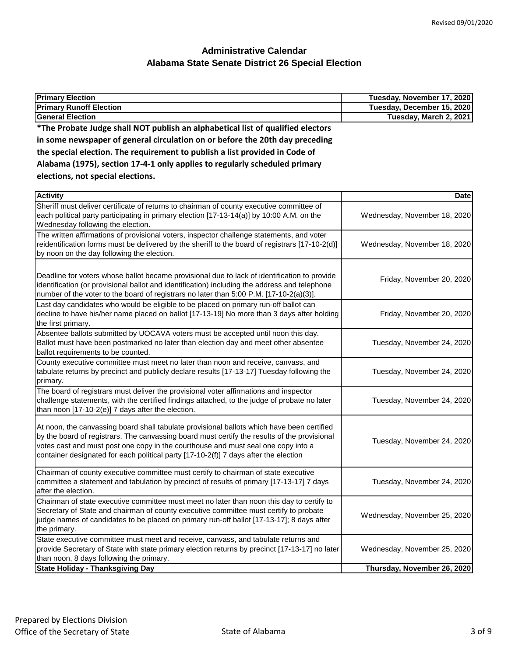| <b>Primary Election</b>                                                                                                                                                                                                                                                                                                                                                 | Tuesday, November 17, 2020   |
|-------------------------------------------------------------------------------------------------------------------------------------------------------------------------------------------------------------------------------------------------------------------------------------------------------------------------------------------------------------------------|------------------------------|
| <b>Primary Runoff Election</b>                                                                                                                                                                                                                                                                                                                                          | Tuesday, December 15, 2020   |
| <b>General Election</b>                                                                                                                                                                                                                                                                                                                                                 | Tuesday, March 2, 2021       |
| *The Probate Judge shall NOT publish an alphabetical list of qualified electors                                                                                                                                                                                                                                                                                         |                              |
| in some newspaper of general circulation on or before the 20th day preceding                                                                                                                                                                                                                                                                                            |                              |
| the special election. The requirement to publish a list provided in Code of                                                                                                                                                                                                                                                                                             |                              |
| Alabama (1975), section 17-4-1 only applies to regularly scheduled primary                                                                                                                                                                                                                                                                                              |                              |
| elections, not special elections.                                                                                                                                                                                                                                                                                                                                       |                              |
| <b>Activity</b>                                                                                                                                                                                                                                                                                                                                                         | <b>Date</b>                  |
| Sheriff must deliver certificate of returns to chairman of county executive committee of<br>each political party participating in primary election [17-13-14(a)] by 10:00 A.M. on the<br>Wednesday following the election.                                                                                                                                              | Wednesday, November 18, 2020 |
| The written affirmations of provisional voters, inspector challenge statements, and voter<br>reidentification forms must be delivered by the sheriff to the board of registrars [17-10-2(d)]<br>by noon on the day following the election.                                                                                                                              | Wednesday, November 18, 2020 |
| Deadline for voters whose ballot became provisional due to lack of identification to provide<br>identification (or provisional ballot and identification) including the address and telephone<br>number of the voter to the board of registrars no later than 5:00 P.M. [17-10-2(a)(3)].                                                                                | Friday, November 20, 2020    |
| Last day candidates who would be eligible to be placed on primary run-off ballot can<br>decline to have his/her name placed on ballot [17-13-19] No more than 3 days after holding<br>the first primary.                                                                                                                                                                | Friday, November 20, 2020    |
| Absentee ballots submitted by UOCAVA voters must be accepted until noon this day.<br>Ballot must have been postmarked no later than election day and meet other absentee<br>ballot requirements to be counted.                                                                                                                                                          | Tuesday, November 24, 2020   |
| County executive committee must meet no later than noon and receive, canvass, and<br>tabulate returns by precinct and publicly declare results [17-13-17] Tuesday following the<br>primary.                                                                                                                                                                             | Tuesday, November 24, 2020   |
| The board of registrars must deliver the provisional voter affirmations and inspector<br>challenge statements, with the certified findings attached, to the judge of probate no later<br>than noon [17-10-2(e)] 7 days after the election.                                                                                                                              | Tuesday, November 24, 2020   |
| At noon, the canvassing board shall tabulate provisional ballots which have been certified<br>by the board of registrars. The canvassing board must certify the results of the provisional<br>votes cast and must post one copy in the courthouse and must seal one copy into a<br>container designated for each political party [17-10-2(f)] 7 days after the election | Tuesday, November 24, 2020   |
| Chairman of county executive committee must certify to chairman of state executive<br>committee a statement and tabulation by precinct of results of primary [17-13-17] 7 days<br>after the election.                                                                                                                                                                   | Tuesday, November 24, 2020   |
| Chairman of state executive committee must meet no later than noon this day to certify to<br>Secretary of State and chairman of county executive committee must certify to probate<br>judge names of candidates to be placed on primary run-off ballot [17-13-17]; 8 days after<br>the primary.                                                                         | Wednesday, November 25, 2020 |
| State executive committee must meet and receive, canvass, and tabulate returns and<br>provide Secretary of State with state primary election returns by precinct [17-13-17] no later<br>than noon, 8 days following the primary.                                                                                                                                        | Wednesday, November 25, 2020 |
| <b>State Holiday - Thanksgiving Day</b>                                                                                                                                                                                                                                                                                                                                 | Thursday, November 26, 2020  |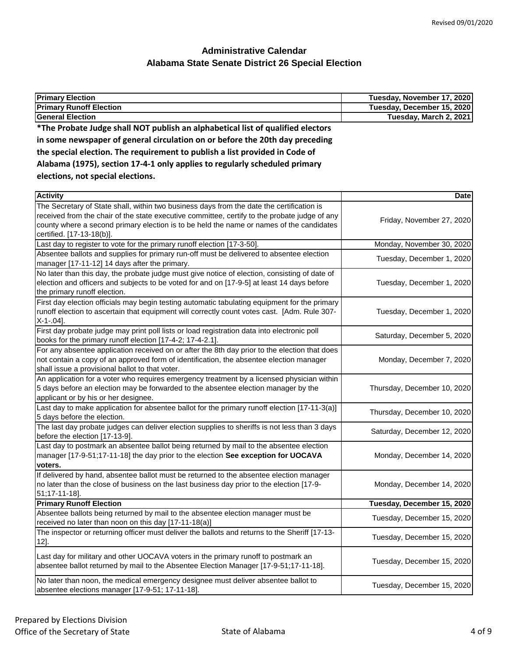| <b>Primary Election</b>                                                                                                                                                                                                                     | Tuesday, November 17, 2020  |
|---------------------------------------------------------------------------------------------------------------------------------------------------------------------------------------------------------------------------------------------|-----------------------------|
| <b>Primary Runoff Election</b>                                                                                                                                                                                                              | Tuesday, December 15, 2020  |
| <b>General Election</b>                                                                                                                                                                                                                     | Tuesday, March 2, 2021      |
| *The Probate Judge shall NOT publish an alphabetical list of qualified electors                                                                                                                                                             |                             |
| in some newspaper of general circulation on or before the 20th day preceding                                                                                                                                                                |                             |
| the special election. The requirement to publish a list provided in Code of                                                                                                                                                                 |                             |
| Alabama (1975), section 17-4-1 only applies to regularly scheduled primary                                                                                                                                                                  |                             |
| elections, not special elections.                                                                                                                                                                                                           |                             |
|                                                                                                                                                                                                                                             |                             |
| <b>Activity</b>                                                                                                                                                                                                                             | <b>Date</b>                 |
| The Secretary of State shall, within two business days from the date the certification is<br>received from the chair of the state executive committee, certify to the probate judge of any                                                  |                             |
| county where a second primary election is to be held the name or names of the candidates<br>certified. [17-13-18(b)].                                                                                                                       | Friday, November 27, 2020   |
| Last day to register to vote for the primary runoff election [17-3-50].                                                                                                                                                                     | Monday, November 30, 2020   |
| Absentee ballots and supplies for primary run-off must be delivered to absentee election                                                                                                                                                    | Tuesday, December 1, 2020   |
| manager [17-11-12] 14 days after the primary.                                                                                                                                                                                               |                             |
| No later than this day, the probate judge must give notice of election, consisting of date of<br>election and officers and subjects to be voted for and on [17-9-5] at least 14 days before<br>the primary runoff election.                 | Tuesday, December 1, 2020   |
| First day election officials may begin testing automatic tabulating equipment for the primary<br>runoff election to ascertain that equipment will correctly count votes cast. [Adm. Rule 307-<br>$X-1-.04$ ].                               | Tuesday, December 1, 2020   |
| First day probate judge may print poll lists or load registration data into electronic poll<br>books for the primary runoff election [17-4-2; 17-4-2.1].                                                                                    | Saturday, December 5, 2020  |
| For any absentee application received on or after the 8th day prior to the election that does<br>not contain a copy of an approved form of identification, the absentee election manager<br>shall issue a provisional ballot to that voter. | Monday, December 7, 2020    |
| An application for a voter who requires emergency treatment by a licensed physician within<br>5 days before an election may be forwarded to the absentee election manager by the<br>applicant or by his or her designee.                    | Thursday, December 10, 2020 |
| Last day to make application for absentee ballot for the primary runoff election [17-11-3(a)]<br>5 days before the election.                                                                                                                | Thursday, December 10, 2020 |
| The last day probate judges can deliver election supplies to sheriffs is not less than 3 days<br>before the election [17-13-9].                                                                                                             | Saturday, December 12, 2020 |
| Last day to postmark an absentee ballot being returned by mail to the absentee election<br>manager [17-9-51;17-11-18] the day prior to the election See exception for UOCAVA<br>voters.                                                     | Monday, December 14, 2020   |
| If delivered by hand, absentee ballot must be returned to the absentee election manager<br>no later than the close of business on the last business day prior to the election [17-9-<br>51;17-11-18].                                       | Monday, December 14, 2020   |
| <b>Primary Runoff Election</b>                                                                                                                                                                                                              | Tuesday, December 15, 2020  |
| Absentee ballots being returned by mail to the absentee election manager must be<br>received no later than noon on this day [17-11-18(a)]                                                                                                   | Tuesday, December 15, 2020  |
| The inspector or returning officer must deliver the ballots and returns to the Sheriff [17-13-<br>$12$ .                                                                                                                                    | Tuesday, December 15, 2020  |
| Last day for military and other UOCAVA voters in the primary runoff to postmark an<br>absentee ballot returned by mail to the Absentee Election Manager [17-9-51;17-11-18].                                                                 | Tuesday, December 15, 2020  |
| No later than noon, the medical emergency designee must deliver absentee ballot to<br>absentee elections manager [17-9-51; 17-11-18].                                                                                                       | Tuesday, December 15, 2020  |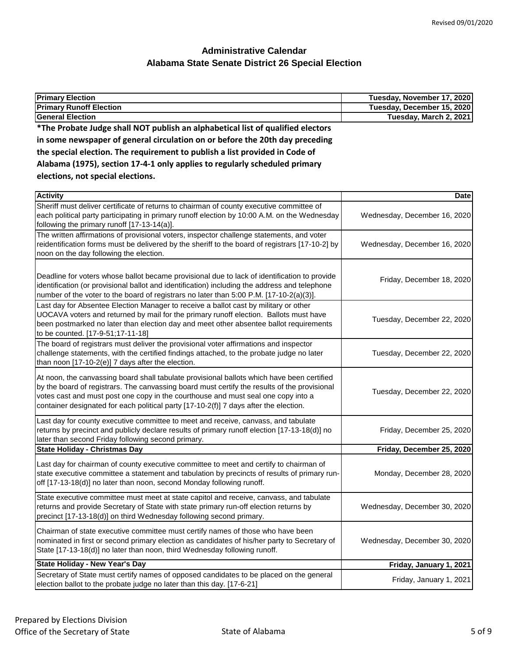| <b>Primary Election</b>                                                                                                                                                                  | Tuesday, November 17, 2020   |
|------------------------------------------------------------------------------------------------------------------------------------------------------------------------------------------|------------------------------|
| <b>Primary Runoff Election</b>                                                                                                                                                           | Tuesday, December 15, 2020   |
| <b>General Election</b>                                                                                                                                                                  | Tuesday, March 2, 2021       |
| *The Probate Judge shall NOT publish an alphabetical list of qualified electors                                                                                                          |                              |
| in some newspaper of general circulation on or before the 20th day preceding                                                                                                             |                              |
| the special election. The requirement to publish a list provided in Code of                                                                                                              |                              |
| Alabama (1975), section 17-4-1 only applies to regularly scheduled primary                                                                                                               |                              |
| elections, not special elections.                                                                                                                                                        |                              |
|                                                                                                                                                                                          |                              |
| <b>Activity</b>                                                                                                                                                                          | <b>Date</b>                  |
| Sheriff must deliver certificate of returns to chairman of county executive committee of                                                                                                 |                              |
| each political party participating in primary runoff election by 10:00 A.M. on the Wednesday                                                                                             | Wednesday, December 16, 2020 |
| following the primary runoff [17-13-14(a)].                                                                                                                                              |                              |
| The written affirmations of provisional voters, inspector challenge statements, and voter                                                                                                |                              |
| reidentification forms must be delivered by the sheriff to the board of registrars [17-10-2] by                                                                                          | Wednesday, December 16, 2020 |
| noon on the day following the election.                                                                                                                                                  |                              |
|                                                                                                                                                                                          |                              |
| Deadline for voters whose ballot became provisional due to lack of identification to provide                                                                                             | Friday, December 18, 2020    |
| identification (or provisional ballot and identification) including the address and telephone<br>number of the voter to the board of registrars no later than 5:00 P.M. [17-10-2(a)(3)]. |                              |
| Last day for Absentee Election Manager to receive a ballot cast by military or other                                                                                                     |                              |
| UOCAVA voters and returned by mail for the primary runoff election. Ballots must have                                                                                                    |                              |
| been postmarked no later than election day and meet other absentee ballot requirements                                                                                                   | Tuesday, December 22, 2020   |
| to be counted. [17-9-51;17-11-18]                                                                                                                                                        |                              |
| The board of registrars must deliver the provisional voter affirmations and inspector                                                                                                    |                              |
| challenge statements, with the certified findings attached, to the probate judge no later                                                                                                | Tuesday, December 22, 2020   |
| than noon [17-10-2(e)] 7 days after the election.                                                                                                                                        |                              |
| At noon, the canvassing board shall tabulate provisional ballots which have been certified                                                                                               |                              |
| by the board of registrars. The canvassing board must certify the results of the provisional                                                                                             |                              |
| votes cast and must post one copy in the courthouse and must seal one copy into a                                                                                                        | Tuesday, December 22, 2020   |
| container designated for each political party [17-10-2(f)] 7 days after the election.                                                                                                    |                              |
| Last day for county executive committee to meet and receive, canvass, and tabulate                                                                                                       |                              |
| returns by precinct and publicly declare results of primary runoff election [17-13-18(d)] no                                                                                             | Friday, December 25, 2020    |
| later than second Friday following second primary.                                                                                                                                       |                              |
| <b>State Holiday - Christmas Day</b>                                                                                                                                                     | Friday, December 25, 2020    |
| Last day for chairman of county executive committee to meet and certify to chairman of                                                                                                   |                              |
| state executive committee a statement and tabulation by precincts of results of primary run-                                                                                             | Monday, December 28, 2020    |
| off [17-13-18(d)] no later than noon, second Monday following runoff.                                                                                                                    |                              |
|                                                                                                                                                                                          |                              |
| State executive committee must meet at state capitol and receive, canvass, and tabulate                                                                                                  | Wednesday, December 30, 2020 |
| returns and provide Secretary of State with state primary run-off election returns by<br>precinct [17-13-18(d)] on third Wednesday following second primary.                             |                              |
|                                                                                                                                                                                          |                              |
| Chairman of state executive committee must certify names of those who have been                                                                                                          |                              |
| nominated in first or second primary election as candidates of his/her party to Secretary of                                                                                             | Wednesday, December 30, 2020 |
| State [17-13-18(d)] no later than noon, third Wednesday following runoff.                                                                                                                |                              |
| <b>State Holiday - New Year's Day</b>                                                                                                                                                    | Friday, January 1, 2021      |
| Secretary of State must certify names of opposed candidates to be placed on the general                                                                                                  | Friday, January 1, 2021      |
| election ballot to the probate judge no later than this day. [17-6-21]                                                                                                                   |                              |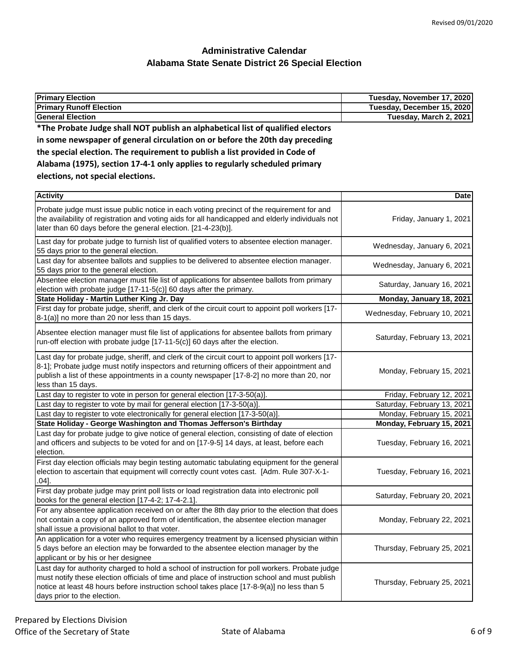| <b>Primary Election</b>                                                                                                                                                                       | Tuesday, November 17, 2020 |
|-----------------------------------------------------------------------------------------------------------------------------------------------------------------------------------------------|----------------------------|
| <b>Primary Runoff Election</b>                                                                                                                                                                | Tuesday, December 15, 2020 |
| <b>General Election</b>                                                                                                                                                                       | Tuesday, March 2, 2021     |
| *The Probate Judge shall NOT publish an alphabetical list of qualified electors                                                                                                               |                            |
| in some newspaper of general circulation on or before the 20th day preceding                                                                                                                  |                            |
| the special election. The requirement to publish a list provided in Code of                                                                                                                   |                            |
| Alabama (1975), section 17-4-1 only applies to regularly scheduled primary                                                                                                                    |                            |
| elections, not special elections.                                                                                                                                                             |                            |
| <b>Activity</b>                                                                                                                                                                               | <b>Date</b>                |
| Probate judge must issue public notice in each voting precinct of the requirement for and<br>the availability of registration and voting aids for all handicapped and elderly individuals not | Friday, January 1, 2021    |

| the availability of registration and voting aids for all handicapped and elderly individuals not<br>later than 60 days before the general election. [21-4-23(b)].                                                                                                                                                           | Friday, January 1, 2021      |
|-----------------------------------------------------------------------------------------------------------------------------------------------------------------------------------------------------------------------------------------------------------------------------------------------------------------------------|------------------------------|
| Last day for probate judge to furnish list of qualified voters to absentee election manager.<br>55 days prior to the general election.                                                                                                                                                                                      | Wednesday, January 6, 2021   |
| Last day for absentee ballots and supplies to be delivered to absentee election manager.<br>55 days prior to the general election.                                                                                                                                                                                          | Wednesday, January 6, 2021   |
| Absentee election manager must file list of applications for absentee ballots from primary<br>election with probate judge [17-11-5(c)] 60 days after the primary.                                                                                                                                                           | Saturday, January 16, 2021   |
| State Holiday - Martin Luther King Jr. Day                                                                                                                                                                                                                                                                                  | Monday, January 18, 2021     |
| First day for probate judge, sheriff, and clerk of the circuit court to appoint poll workers [17-<br>8-1(a)] no more than 20 nor less than 15 days.                                                                                                                                                                         | Wednesday, February 10, 2021 |
| Absentee election manager must file list of applications for absentee ballots from primary<br>run-off election with probate judge [17-11-5(c)] 60 days after the election.                                                                                                                                                  | Saturday, February 13, 2021  |
| Last day for probate judge, sheriff, and clerk of the circuit court to appoint poll workers [17-<br>8-1]; Probate judge must notify inspectors and returning officers of their appointment and<br>publish a list of these appointments in a county newspaper [17-8-2] no more than 20, nor<br>less than 15 days.            | Monday, February 15, 2021    |
| Last day to register to vote in person for general election [17-3-50(a)].                                                                                                                                                                                                                                                   | Friday, February 12, 2021    |
| Last day to register to vote by mail for general election [17-3-50(a)].                                                                                                                                                                                                                                                     | Saturday, February 13, 2021  |
| Last day to register to vote electronically for general election [17-3-50(a)].                                                                                                                                                                                                                                              | Monday, February 15, 2021    |
| State Holiday - George Washington and Thomas Jefferson's Birthday                                                                                                                                                                                                                                                           | Monday, February 15, 2021    |
| Last day for probate judge to give notice of general election, consisting of date of election<br>and officers and subjects to be voted for and on [17-9-5] 14 days, at least, before each<br>election.                                                                                                                      | Tuesday, February 16, 2021   |
| First day election officials may begin testing automatic tabulating equipment for the general<br>election to ascertain that equipment will correctly count votes cast. [Adm. Rule 307-X-1-<br>$.04]$ .                                                                                                                      | Tuesday, February 16, 2021   |
| First day probate judge may print poll lists or load registration data into electronic poll<br>books for the general election [17-4-2; 17-4-2.1].                                                                                                                                                                           | Saturday, February 20, 2021  |
| For any absentee application received on or after the 8th day prior to the election that does<br>not contain a copy of an approved form of identification, the absentee election manager<br>shall issue a provisional ballot to that voter.                                                                                 | Monday, February 22, 2021    |
| An application for a voter who requires emergency treatment by a licensed physician within<br>5 days before an election may be forwarded to the absentee election manager by the<br>applicant or by his or her designee                                                                                                     | Thursday, February 25, 2021  |
| Last day for authority charged to hold a school of instruction for poll workers. Probate judge<br>must notify these election officials of time and place of instruction school and must publish<br>notice at least 48 hours before instruction school takes place [17-8-9(a)] no less than 5<br>days prior to the election. | Thursday, February 25, 2021  |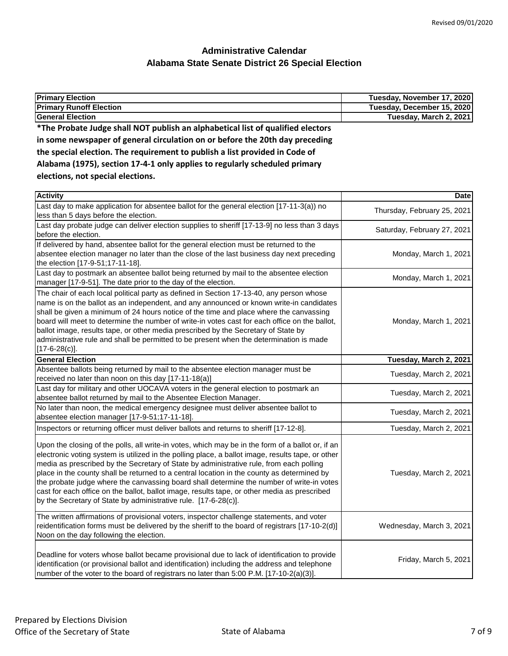| <b>Primary Election</b>                                                                                                                                         | Tuesday, November 17, 2020  |
|-----------------------------------------------------------------------------------------------------------------------------------------------------------------|-----------------------------|
| <b>Primary Runoff Election</b>                                                                                                                                  | Tuesday, December 15, 2020  |
| <b>General Election</b>                                                                                                                                         | Tuesday, March 2, 2021      |
| *The Probate Judge shall NOT publish an alphabetical list of qualified electors<br>in some newspaper of general circulation on or before the 20th day preceding |                             |
| the special election. The requirement to publish a list provided in Code of                                                                                     |                             |
| Alabama (1975), section 17-4-1 only applies to regularly scheduled primary                                                                                      |                             |
| elections, not special elections.                                                                                                                               |                             |
| <b>Activity</b>                                                                                                                                                 | <b>Date</b>                 |
| Last day to make application for absentee ballot for the general election [17-11-3(a)) no<br>less than 5 days before the election.                              | Thursday, February 25, 2021 |
| act day probably aco on doliver election symplics to chariff [17, 12, 0] and less than 2 days                                                                   |                             |

| ress than 5 days before the election.                                                                                                                                                                                                                                                                                                                                                                                                                                                                                                                                                                                                                           |                             |
|-----------------------------------------------------------------------------------------------------------------------------------------------------------------------------------------------------------------------------------------------------------------------------------------------------------------------------------------------------------------------------------------------------------------------------------------------------------------------------------------------------------------------------------------------------------------------------------------------------------------------------------------------------------------|-----------------------------|
| Last day probate judge can deliver election supplies to sheriff [17-13-9] no less than 3 days<br>before the election.                                                                                                                                                                                                                                                                                                                                                                                                                                                                                                                                           | Saturday, February 27, 2021 |
| If delivered by hand, absentee ballot for the general election must be returned to the<br>absentee election manager no later than the close of the last business day next preceding<br>the election [17-9-51;17-11-18].                                                                                                                                                                                                                                                                                                                                                                                                                                         | Monday, March 1, 2021       |
| Last day to postmark an absentee ballot being returned by mail to the absentee election<br>manager [17-9-51]. The date prior to the day of the election.                                                                                                                                                                                                                                                                                                                                                                                                                                                                                                        | Monday, March 1, 2021       |
| The chair of each local political party as defined in Section 17-13-40, any person whose<br>name is on the ballot as an independent, and any announced or known write-in candidates<br>shall be given a minimum of 24 hours notice of the time and place where the canvassing<br>board will meet to determine the number of write-in votes cast for each office on the ballot,<br>ballot image, results tape, or other media prescribed by the Secretary of State by<br>administrative rule and shall be permitted to be present when the determination is made<br>$[17-6-28(c)].$                                                                              | Monday, March 1, 2021       |
| <b>General Election</b>                                                                                                                                                                                                                                                                                                                                                                                                                                                                                                                                                                                                                                         | Tuesday, March 2, 2021      |
| Absentee ballots being returned by mail to the absentee election manager must be<br>received no later than noon on this day [17-11-18(a)]                                                                                                                                                                                                                                                                                                                                                                                                                                                                                                                       | Tuesday, March 2, 2021      |
| Last day for military and other UOCAVA voters in the general election to postmark an<br>absentee ballot returned by mail to the Absentee Election Manager.                                                                                                                                                                                                                                                                                                                                                                                                                                                                                                      | Tuesday, March 2, 2021      |
| No later than noon, the medical emergency designee must deliver absentee ballot to<br>absentee election manager [17-9-51;17-11-18].                                                                                                                                                                                                                                                                                                                                                                                                                                                                                                                             | Tuesday, March 2, 2021      |
| Inspectors or returning officer must deliver ballots and returns to sheriff [17-12-8].                                                                                                                                                                                                                                                                                                                                                                                                                                                                                                                                                                          | Tuesday, March 2, 2021      |
| Upon the closing of the polls, all write-in votes, which may be in the form of a ballot or, if an<br>electronic voting system is utilized in the polling place, a ballot image, results tape, or other<br>media as prescribed by the Secretary of State by administrative rule, from each polling<br>place in the county shall be returned to a central location in the county as determined by<br>the probate judge where the canvassing board shall determine the number of write-in votes<br>cast for each office on the ballot, ballot image, results tape, or other media as prescribed<br>by the Secretary of State by administrative rule. [17-6-28(c)]. | Tuesday, March 2, 2021      |
| The written affirmations of provisional voters, inspector challenge statements, and voter<br>reidentification forms must be delivered by the sheriff to the board of registrars [17-10-2(d)]<br>Noon on the day following the election.                                                                                                                                                                                                                                                                                                                                                                                                                         | Wednesday, March 3, 2021    |
| Deadline for voters whose ballot became provisional due to lack of identification to provide<br>identification (or provisional ballot and identification) including the address and telephone<br>number of the voter to the board of registrars no later than 5:00 P.M. [17-10-2(a)(3)].                                                                                                                                                                                                                                                                                                                                                                        | Friday, March 5, 2021       |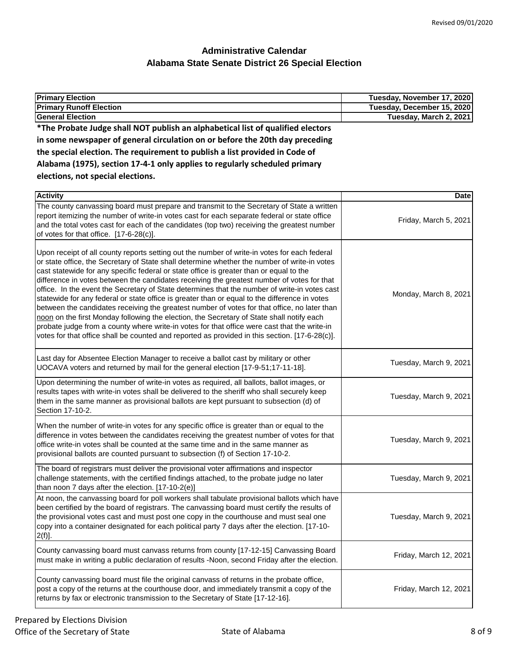| <b>Primary Election</b>                                                                                                                                                                                                                                                                                                                                                                                                                                                                                                                                                                                                                                                                                                                                                                                                                                                                                                                                                                | Tuesday, November 17, 2020 |
|----------------------------------------------------------------------------------------------------------------------------------------------------------------------------------------------------------------------------------------------------------------------------------------------------------------------------------------------------------------------------------------------------------------------------------------------------------------------------------------------------------------------------------------------------------------------------------------------------------------------------------------------------------------------------------------------------------------------------------------------------------------------------------------------------------------------------------------------------------------------------------------------------------------------------------------------------------------------------------------|----------------------------|
| <b>Primary Runoff Election</b>                                                                                                                                                                                                                                                                                                                                                                                                                                                                                                                                                                                                                                                                                                                                                                                                                                                                                                                                                         | Tuesday, December 15, 2020 |
| <b>General Election</b>                                                                                                                                                                                                                                                                                                                                                                                                                                                                                                                                                                                                                                                                                                                                                                                                                                                                                                                                                                | Tuesday, March 2, 2021     |
| *The Probate Judge shall NOT publish an alphabetical list of qualified electors                                                                                                                                                                                                                                                                                                                                                                                                                                                                                                                                                                                                                                                                                                                                                                                                                                                                                                        |                            |
| in some newspaper of general circulation on or before the 20th day preceding                                                                                                                                                                                                                                                                                                                                                                                                                                                                                                                                                                                                                                                                                                                                                                                                                                                                                                           |                            |
| the special election. The requirement to publish a list provided in Code of                                                                                                                                                                                                                                                                                                                                                                                                                                                                                                                                                                                                                                                                                                                                                                                                                                                                                                            |                            |
| Alabama (1975), section 17-4-1 only applies to regularly scheduled primary                                                                                                                                                                                                                                                                                                                                                                                                                                                                                                                                                                                                                                                                                                                                                                                                                                                                                                             |                            |
| elections, not special elections.                                                                                                                                                                                                                                                                                                                                                                                                                                                                                                                                                                                                                                                                                                                                                                                                                                                                                                                                                      |                            |
| <b>Activity</b>                                                                                                                                                                                                                                                                                                                                                                                                                                                                                                                                                                                                                                                                                                                                                                                                                                                                                                                                                                        | Date                       |
| The county canvassing board must prepare and transmit to the Secretary of State a written<br>report itemizing the number of write-in votes cast for each separate federal or state office<br>and the total votes cast for each of the candidates (top two) receiving the greatest number<br>of votes for that office. [17-6-28(c)].                                                                                                                                                                                                                                                                                                                                                                                                                                                                                                                                                                                                                                                    | Friday, March 5, 2021      |
| Upon receipt of all county reports setting out the number of write-in votes for each federal<br>or state office, the Secretary of State shall determine whether the number of write-in votes<br>cast statewide for any specific federal or state office is greater than or equal to the<br>difference in votes between the candidates receiving the greatest number of votes for that<br>office. In the event the Secretary of State determines that the number of write-in votes cast<br>statewide for any federal or state office is greater than or equal to the difference in votes<br>between the candidates receiving the greatest number of votes for that office, no later than<br>noon on the first Monday following the election, the Secretary of State shall notify each<br>probate judge from a county where write-in votes for that office were cast that the write-in<br>votes for that office shall be counted and reported as provided in this section. [17-6-28(c)]. | Monday, March 8, 2021      |
| Last day for Absentee Election Manager to receive a ballot cast by military or other<br>UOCAVA voters and returned by mail for the general election [17-9-51;17-11-18].                                                                                                                                                                                                                                                                                                                                                                                                                                                                                                                                                                                                                                                                                                                                                                                                                | Tuesday, March 9, 2021     |
| Upon determining the number of write-in votes as required, all ballots, ballot images, or<br>results tapes with write-in votes shall be delivered to the sheriff who shall securely keep<br>them in the same manner as provisional ballots are kept pursuant to subsection (d) of<br>Section 17-10-2.                                                                                                                                                                                                                                                                                                                                                                                                                                                                                                                                                                                                                                                                                  | Tuesday, March 9, 2021     |
| When the number of write-in votes for any specific office is greater than or equal to the<br>difference in votes between the candidates receiving the greatest number of votes for that<br>office write-in votes shall be counted at the same time and in the same manner as<br>provisional ballots are counted pursuant to subsection (f) of Section 17-10-2.                                                                                                                                                                                                                                                                                                                                                                                                                                                                                                                                                                                                                         | Tuesday, March 9, 2021     |
| The board of registrars must deliver the provisional voter affirmations and inspector<br>challenge statements, with the certified findings attached, to the probate judge no later<br>than noon 7 days after the election. [17-10-2(e)]                                                                                                                                                                                                                                                                                                                                                                                                                                                                                                                                                                                                                                                                                                                                                | Tuesday, March 9, 2021     |
| At noon, the canvassing board for poll workers shall tabulate provisional ballots which have<br>been certified by the board of registrars. The canvassing board must certify the results of<br>the provisional votes cast and must post one copy in the courthouse and must seal one<br>copy into a container designated for each political party 7 days after the election. [17-10-<br>$2(f)$ ].                                                                                                                                                                                                                                                                                                                                                                                                                                                                                                                                                                                      | Tuesday, March 9, 2021     |
| County canvassing board must canvass returns from county [17-12-15] Canvassing Board<br>must make in writing a public declaration of results -Noon, second Friday after the election.                                                                                                                                                                                                                                                                                                                                                                                                                                                                                                                                                                                                                                                                                                                                                                                                  | Friday, March 12, 2021     |
| County canvassing board must file the original canvass of returns in the probate office,<br>post a copy of the returns at the courthouse door, and immediately transmit a copy of the<br>returns by fax or electronic transmission to the Secretary of State [17-12-16].                                                                                                                                                                                                                                                                                                                                                                                                                                                                                                                                                                                                                                                                                                               | Friday, March 12, 2021     |